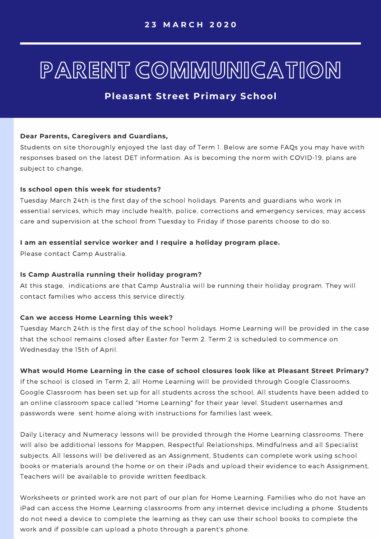## PARENT COMMUNICATION

### **Pleasant Street Primary School**

#### **Dear Parents, Caregivers and Guardians,**

Students on site thoroughly enjoyed the last day of Term 1. Below are some FAQs you may have with responses based on the latest DET information. As is becoming the norm with COVID-19, plans are subject to change,

#### **Is school open this week for students?**

Tuesday March 24th is the first day of the school holidays. Parents and guardians who work in essential services, which may include health, police, corrections and emergency services, may access care and supervision at the school from Tuesday to Friday if those parents choose to do so.

#### **I am an essential service worker and I require a holiday program place.**

Please contact Camp Australia.

#### **Is Camp Australia running their holiday program?**

At this stage, indications are that Camp Australia will be running their holiday program. They will contact families who access this service directly.

#### **Can we access Home Learning this week?**

Tuesday March 24th is the first day of the school holidays. Home Learning will be provided in the case that the school remains closed after Easter for Term 2. Term 2 is scheduled to commence on Wednesday the 15th of April.

#### **What would Home Learning in the case of school closures look like at Pleasant Street Primary?**

If the school is closed in Term 2, all Home Learning will be provided through Google Classrooms. Google Classroom has been set up for all students across the school. All students have been added to an online classroom space called "Home Learning" for their year level. Student usernames and passwords were sent home along with instructions for families last week,

Daily Literacy and Numeracy lessons will be provided through the Home Learning classrooms. There will also be additional lessons for Mappen, Respectful Relationships, Mindfulness and all Specialist subjects. All lessons will be delivered as an Assignment, Students can complete work using school books or materials around the home or on their iPads and upload their evidence to each Assignment, Teachers will be available to provide written feedback.

Worksheets or printed work are not part of our plan for Home Learning. Families who do not have an iPad can access the Home Learning classrooms from any internet device including a phone. Students do not need a device to complete the learning as they can use their school books to complete the work and if possible can upload a photo through a parent's phone.